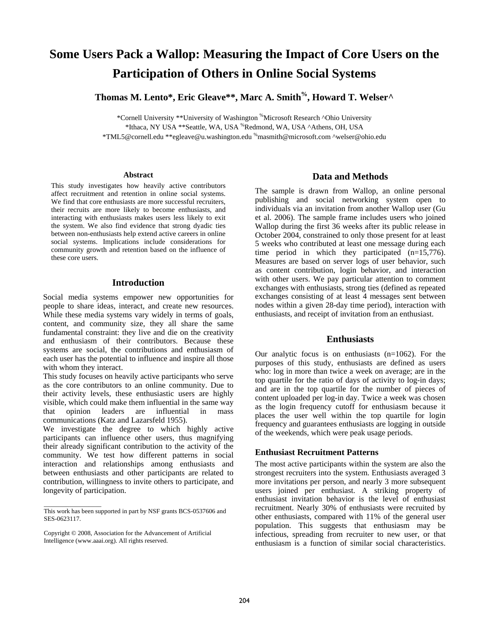# **Some Users Pack a Wallop: Measuring the Impact of Core Users on the Participation of Others in Online Social Systems**

Thomas M. Lento\*, Eric Gleave\*\*, Marc A. Smith<sup>%</sup>, Howard T. Welser<sup>^</sup>

\*Cornell University \*\*University of Washington %Microsoft Research ^Ohio University \*Ithaca, NY USA \*\*Seattle, WA, USA %Redmond, WA, USA ^Athens, OH, USA

\*TML5@cornell.edu \*\*egleave@u.washington.edu %masmith@microsoft.com ^welser@ohio.edu

#### **Abstract**

This study investigates how heavily active contributors affect recruitment and retention in online social systems. We find that core enthusiasts are more successful recruiters, their recruits are more likely to become enthusiasts, and interacting with enthusiasts makes users less likely to exit the system. We also find evidence that strong dyadic ties between non-enthusiasts help extend active careers in online social systems. Implications include considerations for community growth and retention based on the influence of these core users.

## **Introduction**

Social media systems empower new opportunities for people to share ideas, interact, and create new resources. While these media systems vary widely in terms of goals, content, and community size, they all share the same fundamental constraint: they live and die on the creativity and enthusiasm of their contributors. Because these systems are social, the contributions and enthusiasm of each user has the potential to influence and inspire all those with whom they interact.

This study focuses on heavily active participants who serve as the core contributors to an online community. Due to their activity levels, these enthusiastic users are highly visible, which could make them influential in the same way that opinion leaders are influential in mass communications (Katz and Lazarsfeld 1955).

We investigate the degree to which highly active participants can influence other users, thus magnifying their already significant contribution to the activity of the community. We test how different patterns in social interaction and relationships among enthusiasts and between enthusiasts and other participants are related to contribution, willingness to invite others to participate, and longevity of participation.

 $\overline{\phantom{a}}$  , where  $\overline{\phantom{a}}$  , where  $\overline{\phantom{a}}$ 

### **Data and Methods**

The sample is drawn from Wallop, an online personal publishing and social networking system open to individuals via an invitation from another Wallop user (Gu et al. 2006). The sample frame includes users who joined Wallop during the first 36 weeks after its public release in October 2004, constrained to only those present for at least 5 weeks who contributed at least one message during each time period in which they participated  $(n=15,776)$ . Measures are based on server logs of user behavior, such as content contribution, login behavior, and interaction with other users. We pay particular attention to comment exchanges with enthusiasts, strong ties (defined as repeated exchanges consisting of at least 4 messages sent between nodes within a given 28-day time period), interaction with enthusiasts, and receipt of invitation from an enthusiast.

## **Enthusiasts**

Our analytic focus is on enthusiasts  $(n=1062)$ . For the purposes of this study, enthusiasts are defined as users who: log in more than twice a week on average; are in the top quartile for the ratio of days of activity to log-in days; and are in the top quartile for the number of pieces of content uploaded per log-in day. Twice a week was chosen as the login frequency cutoff for enthusiasm because it places the user well within the top quartile for login frequency and guarantees enthusiasts are logging in outside of the weekends, which were peak usage periods.

### **Enthusiast Recruitment Patterns**

The most active participants within the system are also the strongest recruiters into the system. Enthusiasts averaged 3 more invitations per person, and nearly 3 more subsequent users joined per enthusiast. A striking property of enthusiast invitation behavior is the level of enthusiast recruitment. Nearly 30% of enthusiasts were recruited by other enthusiasts, compared with 11% of the general user population. This suggests that enthusiasm may be infectious, spreading from recruiter to new user, or that enthusiasm is a function of similar social characteristics.

This work has been supported in part by NSF grants BCS-0537606 and SES-0623117.

Copyright © 2008, Association for the Advancement of Artificial Intelligence (www.aaai.org). All rights reserved.